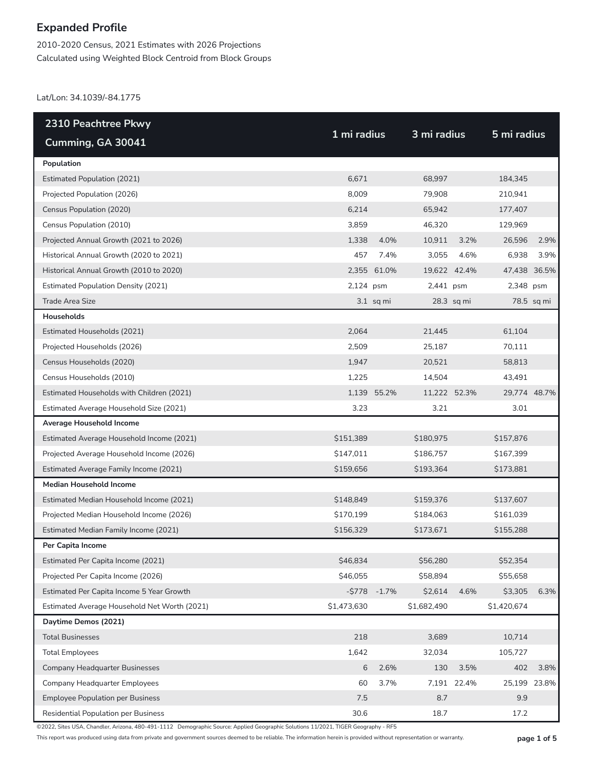2010-2020 Census, 2021 Estimates with 2026 Projections Calculated using Weighted Block Centroid from Block Groups

Lat/Lon: 34.1039/-84.1775

| 2310 Peachtree Pkwy                          |             |                |              |              |              |              |
|----------------------------------------------|-------------|----------------|--------------|--------------|--------------|--------------|
| Cumming, GA 30041                            | 1 mi radius |                | 3 mi radius  |              | 5 mi radius  |              |
| Population                                   |             |                |              |              |              |              |
| <b>Estimated Population (2021)</b>           | 6,671       |                | 68,997       |              | 184,345      |              |
| Projected Population (2026)                  | 8,009       |                | 79,908       |              | 210,941      |              |
| Census Population (2020)                     | 6,214       |                | 65,942       |              | 177,407      |              |
| Census Population (2010)                     | 3,859       |                | 46,320       |              | 129,969      |              |
| Projected Annual Growth (2021 to 2026)       | 1,338       | 4.0%           | 10,911       | 3.2%         | 26,596       | 2.9%         |
| Historical Annual Growth (2020 to 2021)      | 457         | 7.4%           | 3,055        | 4.6%         | 6,938        | 3.9%         |
| Historical Annual Growth (2010 to 2020)      |             | 2,355 61.0%    |              | 19,622 42.4% | 47,438 36.5% |              |
| <b>Estimated Population Density (2021)</b>   | 2,124 psm   |                | 2,441 psm    |              | 2,348 psm    |              |
| <b>Trade Area Size</b>                       |             | $3.1$ sq mi    |              | 28.3 sq mi   |              | 78.5 sq mi   |
| Households                                   |             |                |              |              |              |              |
| Estimated Households (2021)                  | 2,064       |                | 21,445       |              | 61,104       |              |
| Projected Households (2026)                  | 2,509       |                | 25,187       |              | 70,111       |              |
| Census Households (2020)                     | 1,947       |                | 20,521       |              | 58,813       |              |
| Census Households (2010)                     | 1,225       |                | 14,504       |              | 43,491       |              |
| Estimated Households with Children (2021)    |             | 1,139 55.2%    | 11,222 52.3% |              | 29,774 48.7% |              |
| Estimated Average Household Size (2021)      | 3.23        |                | 3.21         |              | 3.01         |              |
| Average Household Income                     |             |                |              |              |              |              |
| Estimated Average Household Income (2021)    | \$151,389   |                | \$180,975    |              | \$157,876    |              |
| Projected Average Household Income (2026)    | \$147,011   |                | \$186,757    |              | \$167,399    |              |
| Estimated Average Family Income (2021)       | \$159,656   |                | \$193,364    |              | \$173,881    |              |
| <b>Median Household Income</b>               |             |                |              |              |              |              |
| Estimated Median Household Income (2021)     | \$148,849   |                | \$159,376    |              | \$137,607    |              |
| Projected Median Household Income (2026)     | \$170,199   |                | \$184,063    |              | \$161,039    |              |
| Estimated Median Family Income (2021)        | \$156,329   |                | \$173,671    |              | \$155,288    |              |
| Per Capita Income                            |             |                |              |              |              |              |
| Estimated Per Capita Income (2021)           | \$46,834    |                | \$56,280     |              | \$52,354     |              |
| Projected Per Capita Income (2026)           | \$46,055    |                | \$58,894     |              | \$55,658     |              |
| Estimated Per Capita Income 5 Year Growth    |             | $-5778 - 1.7%$ | \$2,614      | 4.6%         | \$3,305      | 6.3%         |
| Estimated Average Household Net Worth (2021) | \$1,473,630 |                | \$1,682,490  |              | \$1,420,674  |              |
| Daytime Demos (2021)                         |             |                |              |              |              |              |
| <b>Total Businesses</b>                      | 218         |                | 3,689        |              | 10,714       |              |
| <b>Total Employees</b>                       | 1,642       |                | 32,034       |              | 105,727      |              |
| <b>Company Headquarter Businesses</b>        | 6           | 2.6%           | 130          | 3.5%         | 402          | 3.8%         |
| Company Headquarter Employees                | 60          | 3.7%           |              | 7,191 22.4%  |              | 25,199 23.8% |
| <b>Employee Population per Business</b>      | 7.5         |                | 8.7          |              | 9.9          |              |
| Residential Population per Business          | 30.6        |                | 18.7         |              | 17.2         |              |

©2022, Sites USA, Chandler, Arizona, 480-491-1112 Demographic Source: Applied Geographic Solutions 11/2021, TIGER Geography - RF5

This report was produced using data from private and government sources deemed to be reliable. The information herein is provided without representation or warranty. **page 1 of 5**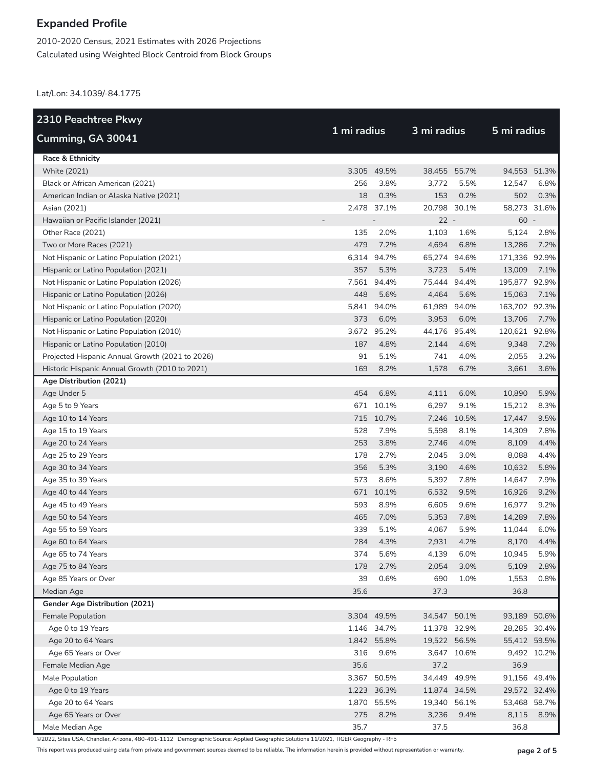2010-2020 Census, 2021 Estimates with 2026 Projections Calculated using Weighted Block Centroid from Block Groups

Lat/Lon: 34.1039/-84.1775

| 2310 Peachtree Pkwy                             |             |             |              |             |               |             |
|-------------------------------------------------|-------------|-------------|--------------|-------------|---------------|-------------|
| Cumming, GA 30041                               | 1 mi radius |             | 3 mi radius  |             | 5 mi radius   |             |
| Race & Ethnicity                                |             |             |              |             |               |             |
| <b>White (2021)</b>                             |             | 3,305 49.5% | 38,455       | 55.7%       | 94,553 51.3%  |             |
| Black or African American (2021)                | 256         | 3.8%        | 3,772        | 5.5%        | 12,547        | 6.8%        |
| American Indian or Alaska Native (2021)         | 18          | 0.3%        | 153          | 0.2%        | 502           | 0.3%        |
| Asian (2021)                                    |             | 2,478 37.1% | 20,798 30.1% |             | 58,273 31.6%  |             |
| Hawaiian or Pacific Islander (2021)             |             |             | $22 -$       |             | $60 -$        |             |
| Other Race (2021)                               | 135         | 2.0%        | 1,103        | 1.6%        | 5,124         | 2.8%        |
| Two or More Races (2021)                        | 479         | 7.2%        | 4,694        | 6.8%        | 13,286        | 7.2%        |
| Not Hispanic or Latino Population (2021)        |             | 6,314 94.7% | 65,274 94.6% |             | 171,336 92.9% |             |
| Hispanic or Latino Population (2021)            | 357         | 5.3%        | 3,723        | 5.4%        | 13,009        | 7.1%        |
| Not Hispanic or Latino Population (2026)        | 7,561       | 94.4%       | 75,444       | 94.4%       | 195,877 92.9% |             |
| Hispanic or Latino Population (2026)            | 448         | 5.6%        | 4,464        | 5.6%        | 15,063        | 7.1%        |
| Not Hispanic or Latino Population (2020)        |             | 5,841 94.0% | 61,989       | 94.0%       | 163,702 92.3% |             |
| Hispanic or Latino Population (2020)            | 373         | 6.0%        | 3,953        | 6.0%        | 13,706        | 7.7%        |
| Not Hispanic or Latino Population (2010)        |             | 3,672 95.2% | 44,176 95.4% |             | 120,621 92.8% |             |
| Hispanic or Latino Population (2010)            | 187         | 4.8%        | 2,144        | 4.6%        | 9,348         | 7.2%        |
| Projected Hispanic Annual Growth (2021 to 2026) | 91          | 5.1%        | 741          | 4.0%        | 2,055         | 3.2%        |
| Historic Hispanic Annual Growth (2010 to 2021)  | 169         | 8.2%        | 1,578        | 6.7%        | 3,661         | 3.6%        |
| Age Distribution (2021)                         |             |             |              |             |               |             |
| Age Under 5                                     | 454         | 6.8%        | 4,111        | 6.0%        | 10,890        | 5.9%        |
| Age 5 to 9 Years                                |             | 671 10.1%   | 6,297        | 9.1%        | 15,212        | 8.3%        |
| Age 10 to 14 Years                              |             | 715 10.7%   | 7,246        | 10.5%       | 17,447        | 9.5%        |
| Age 15 to 19 Years                              | 528         | 7.9%        | 5,598        | 8.1%        | 14,309        | 7.8%        |
| Age 20 to 24 Years                              | 253         | 3.8%        | 2,746        | 4.0%        | 8,109         | 4.4%        |
| Age 25 to 29 Years                              | 178         | 2.7%        | 2,045        | 3.0%        | 8,088         | 4.4%        |
| Age 30 to 34 Years                              | 356         | 5.3%        | 3,190        | 4.6%        | 10,632        | 5.8%        |
| Age 35 to 39 Years                              | 573         | 8.6%        | 5,392        | 7.8%        | 14,647        | 7.9%        |
| Age 40 to 44 Years                              |             | 671 10.1%   | 6,532        | 9.5%        | 16,926        | 9.2%        |
| Age 45 to 49 Years                              | 593         | 8.9%        | 6,605        | 9.6%        | 16,977        | 9.2%        |
| Age 50 to 54 Years                              | 465         | 7.0%        | 5,353        | 7.8%        | 14,289        | 7.8%        |
| Age 55 to 59 Years                              | 339         | 5.1%        | 4,067        | 5.9%        | 11,044        | 6.0%        |
| Age 60 to 64 Years                              | 284         | 4.3%        | 2,931        | 4.2%        | 8,170         | 4.4%        |
| Age 65 to 74 Years                              | 374         | 5.6%        | 4,139        | 6.0%        | 10,945        | 5.9%        |
| Age 75 to 84 Years                              | 178         | 2.7%        | 2,054        | 3.0%        | 5,109         | 2.8%        |
| Age 85 Years or Over                            | 39          | 0.6%        | 690          | 1.0%        | 1,553         | 0.8%        |
| Median Age                                      | 35.6        |             | 37.3         |             | 36.8          |             |
| Gender Age Distribution (2021)                  |             |             |              |             |               |             |
| Female Population                               |             | 3,304 49.5% | 34,547 50.1% |             | 93,189 50.6%  |             |
| Age 0 to 19 Years                               |             | 1,146 34.7% | 11,378 32.9% |             | 28,285 30.4%  |             |
| Age 20 to 64 Years                              |             | 1,842 55.8% | 19,522 56.5% |             | 55,412 59.5%  |             |
| Age 65 Years or Over                            | 316         | 9.6%        |              | 3,647 10.6% |               | 9,492 10.2% |
| Female Median Age                               | 35.6        |             | 37.2         |             | 36.9          |             |
| Male Population                                 |             | 3,367 50.5% | 34,449 49.9% |             | 91,156 49.4%  |             |
| Age 0 to 19 Years                               |             | 1,223 36.3% | 11,874 34.5% |             | 29,572 32.4%  |             |
| Age 20 to 64 Years                              |             | 1,870 55.5% | 19,340 56.1% |             | 53,468 58.7%  |             |
| Age 65 Years or Over                            | 275         | 8.2%        | 3,236        | 9.4%        | 8,115         | 8.9%        |
| Male Median Age                                 | 35.7        |             | 37.5         |             | 36.8          |             |

©2022, Sites USA, Chandler, Arizona, 480-491-1112 Demographic Source: Applied Geographic Solutions 11/2021, TIGER Geography - RF5

This report was produced using data from private and government sources deemed to be reliable. The information herein is provided without representation or warranty. **page 2 of 5**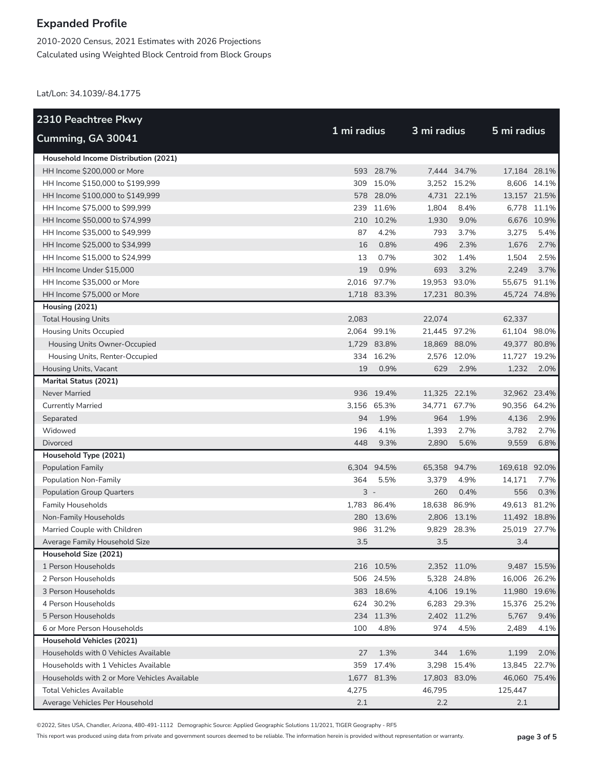2010-2020 Census, 2021 Estimates with 2026 Projections Calculated using Weighted Block Centroid from Block Groups

Lat/Lon: 34.1039/-84.1775

| 2310 Peachtree Pkwy                          |             |             |              |             |               |             |
|----------------------------------------------|-------------|-------------|--------------|-------------|---------------|-------------|
| Cumming, GA 30041                            | 1 mi radius |             | 3 mi radius  |             | 5 mi radius   |             |
| Household Income Distribution (2021)         |             |             |              |             |               |             |
| HH Income \$200,000 or More                  |             | 593 28.7%   |              | 7,444 34.7% | 17,184 28.1%  |             |
| HH Income \$150,000 to \$199,999             |             | 309 15.0%   |              | 3,252 15.2% |               | 8.606 14.1% |
| HH Income \$100,000 to \$149,999             |             | 578 28.0%   |              | 4,731 22.1% | 13,157 21.5%  |             |
| HH Income \$75,000 to \$99,999               |             | 239 11.6%   | 1,804        | 8.4%        |               | 6,778 11.1% |
| HH Income \$50,000 to \$74,999               |             | 210 10.2%   | 1,930        | 9.0%        |               | 6,676 10.9% |
| HH Income \$35,000 to \$49,999               | 87          | 4.2%        | 793          | 3.7%        | 3.275         | 5.4%        |
| HH Income \$25,000 to \$34,999               | 16          | 0.8%        | 496          | 2.3%        | 1,676         | 2.7%        |
| HH Income \$15,000 to \$24,999               | 13          | 0.7%        | 302          | 1.4%        | 1,504         | 2.5%        |
| HH Income Under \$15,000                     | 19          | 0.9%        | 693          | 3.2%        | 2,249         | 3.7%        |
| HH Income \$35,000 or More                   |             | 2,016 97.7% | 19,953 93.0% |             | 55,675 91.1%  |             |
| HH Income \$75,000 or More                   |             | 1,718 83.3% | 17,231 80.3% |             | 45,724 74.8%  |             |
| Housing (2021)                               |             |             |              |             |               |             |
| <b>Total Housing Units</b>                   | 2,083       |             | 22,074       |             | 62,337        |             |
| <b>Housing Units Occupied</b>                |             | 2.064 99.1% | 21,445 97.2% |             | 61,104 98.0%  |             |
| Housing Units Owner-Occupied                 |             | 1,729 83.8% | 18,869 88.0% |             | 49,377 80.8%  |             |
| Housing Units, Renter-Occupied               |             | 334 16.2%   |              | 2,576 12.0% | 11,727 19.2%  |             |
| Housing Units, Vacant                        | 19          | 0.9%        | 629          | 2.9%        | 1,232         | 2.0%        |
| <b>Marital Status (2021)</b>                 |             |             |              |             |               |             |
| Never Married                                |             | 936 19.4%   | 11,325 22.1% |             | 32,962 23.4%  |             |
| <b>Currently Married</b>                     |             | 3,156 65.3% | 34,771 67.7% |             | 90,356 64.2%  |             |
| Separated                                    | 94          | 1.9%        | 964          | 1.9%        | 4,136         | 2.9%        |
| Widowed                                      | 196         | 4.1%        | 1,393        | 2.7%        | 3,782         | 2.7%        |
| Divorced                                     | 448         | 9.3%        | 2,890        | 5.6%        | 9,559         | 6.8%        |
| Household Type (2021)                        |             |             |              |             |               |             |
| Population Family                            |             | 6,304 94.5% | 65,358 94.7% |             | 169,618 92.0% |             |
| Population Non-Family                        | 364         | 5.5%        | 3,379        | 4.9%        | 14,171        | 7.7%        |
| <b>Population Group Quarters</b>             | $3 -$       |             | 260          | 0.4%        | 556           | 0.3%        |
| <b>Family Households</b>                     |             | 1,783 86.4% | 18,638 86.9% |             | 49,613 81.2%  |             |
| Non-Family Households                        |             | 280 13.6%   |              | 2,806 13.1% | 11,492 18.8%  |             |
| Married Couple with Children                 |             | 986 31.2%   |              | 9,829 28.3% | 25.019 27.7%  |             |
| Average Family Household Size                | 3.5         |             | 3.5          |             | 3.4           |             |
| Household Size (2021)                        |             |             |              |             |               |             |
| 1 Person Households                          |             | 216 10.5%   |              | 2,352 11.0% |               | 9,487 15.5% |
| 2 Person Households                          |             | 506 24.5%   |              | 5,328 24.8% | 16,006 26.2%  |             |
| 3 Person Households                          |             | 383 18.6%   |              | 4,106 19.1% | 11,980 19.6%  |             |
| 4 Person Households                          |             | 624 30.2%   |              | 6,283 29.3% | 15,376 25.2%  |             |
| 5 Person Households                          |             | 234 11.3%   |              | 2,402 11.2% | 5,767         | 9.4%        |
| 6 or More Person Households                  | 100         | 4.8%        | 974          | 4.5%        | 2,489         | 4.1%        |
| Household Vehicles (2021)                    |             |             |              |             |               |             |
| Households with 0 Vehicles Available         | 27          | 1.3%        | 344          | 1.6%        | 1,199         | 2.0%        |
| Households with 1 Vehicles Available         |             | 359 17.4%   |              | 3,298 15.4% | 13,845 22.7%  |             |
| Households with 2 or More Vehicles Available |             | 1,677 81.3% | 17,803 83.0% |             | 46,060 75.4%  |             |
| <b>Total Vehicles Available</b>              | 4,275       |             | 46,795       |             | 125,447       |             |
| Average Vehicles Per Household               | 2.1         |             | 2.2          |             | 2.1           |             |

©2022, Sites USA, Chandler, Arizona, 480-491-1112 Demographic Source: Applied Geographic Solutions 11/2021, TIGER Geography - RF5

This report was produced using data from private and government sources deemed to be reliable. The information herein is provided without representation or warranty. **page 3 of 5**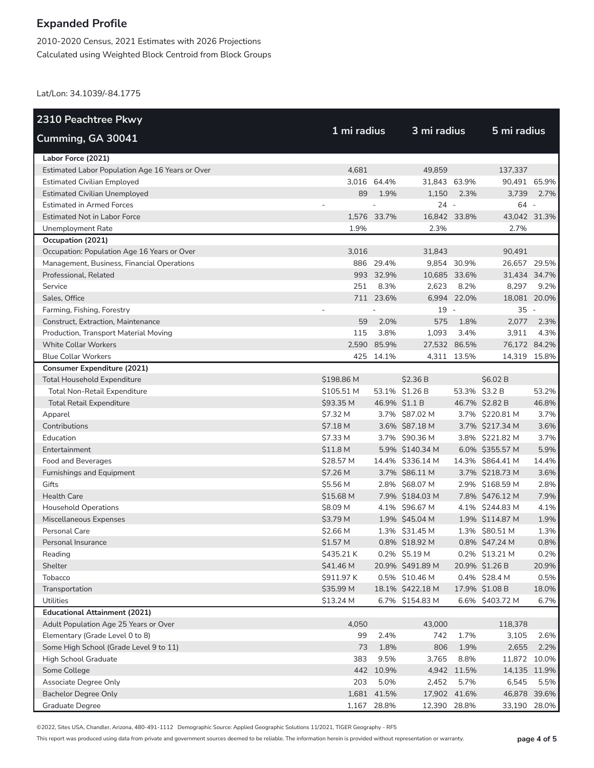2010-2020 Census, 2021 Estimates with 2026 Projections Calculated using Weighted Block Centroid from Block Groups

Lat/Lon: 34.1039/-84.1775

| <b>2310 Peachtree Pkwy</b>                      |                     |               |                  |             |                  |       |
|-------------------------------------------------|---------------------|---------------|------------------|-------------|------------------|-------|
| Cumming, GA 30041                               | 1 mi radius         |               | 3 mi radius      |             | 5 mi radius      |       |
| Labor Force (2021)                              |                     |               |                  |             |                  |       |
| Estimated Labor Population Age 16 Years or Over | 4,681               |               | 49,859           |             | 137.337          |       |
| <b>Estimated Civilian Employed</b>              |                     | 3,016 64.4%   | 31,843 63.9%     |             | 90,491 65.9%     |       |
| <b>Estimated Civilian Unemployed</b>            | 89                  | 1.9%          | 1,150            | 2.3%        | 3,739            | 2.7%  |
| <b>Estimated in Armed Forces</b>                |                     |               | $24 -$           |             | 64 -             |       |
| <b>Estimated Not in Labor Force</b>             |                     | 1,576 33.7%   | 16,842 33.8%     |             | 43,042 31.3%     |       |
| Unemployment Rate                               | 1.9%                |               | 2.3%             |             | 2.7%             |       |
| Occupation (2021)                               |                     |               |                  |             |                  |       |
| Occupation: Population Age 16 Years or Over     | 3,016               |               | 31,843           |             | 90,491           |       |
| Management, Business, Financial Operations      |                     | 886 29.4%     |                  | 9,854 30.9% | 26,657 29.5%     |       |
| Professional, Related                           |                     | 993 32.9%     | 10,685 33.6%     |             | 31,434 34.7%     |       |
| Service                                         | 251                 | 8.3%          | 2,623            | 8.2%        | 8,297            | 9.2%  |
| Sales, Office                                   |                     | 711 23.6%     |                  | 6,994 22.0% | 18,081 20.0%     |       |
| Farming, Fishing, Forestry                      |                     |               | 19               | $\sim$      | $35 -$           |       |
| Construct, Extraction, Maintenance              | 59                  | 2.0%          | 575              | 1.8%        | 2,077            | 2.3%  |
| Production, Transport Material Moving           | 115                 | 3.8%          | 1,093            | 3.4%        | 3,911            | 4.3%  |
| <b>White Collar Workers</b>                     | 2,590               | 85.9%         | 27,532 86.5%     |             | 76,172 84.2%     |       |
| <b>Blue Collar Workers</b>                      |                     | 425 14.1%     |                  | 4,311 13.5% | 14,319 15.8%     |       |
| <b>Consumer Expenditure (2021)</b>              |                     |               |                  |             |                  |       |
| <b>Total Household Expenditure</b>              | \$198.86 M          |               | \$2.36 B         |             | \$6.02 B         |       |
| <b>Total Non-Retail Expenditure</b>             | \$105.51 M          |               | 53.1% \$1.26 B   |             | 53.3% \$3.2 B    | 53.2% |
| <b>Total Retail Expenditure</b>                 | \$93.35 M           | 46.9% \$1.1 B |                  |             | 46.7% \$2.82 B   | 46.8% |
| Apparel                                         | \$7.32 M            |               | 3.7% \$87.02 M   |             | 3.7% \$220.81 M  | 3.7%  |
| Contributions                                   | \$7.18 M            |               | 3.6% \$87.18 M   |             | 3.7% \$217.34 M  | 3.6%  |
| Education                                       | \$7.33 M            |               | 3.7% \$90.36 M   |             | 3.8% \$221.82 M  | 3.7%  |
| Entertainment                                   | \$11.8 <sub>M</sub> |               | 5.9% \$140.34 M  |             | 6.0% \$355.57 M  | 5.9%  |
| Food and Beverages                              | \$28.57 M           |               | 14.4% \$336.14 M |             | 14.3% \$864.41 M | 14.4% |
| Furnishings and Equipment                       | \$7.26 M            |               | 3.7% \$86.11 M   |             | 3.7% \$218.73 M  | 3.6%  |
| Gifts                                           | \$5.56 M            |               | 2.8% \$68.07 M   |             | 2.9% \$168.59 M  | 2.8%  |
| <b>Health Care</b>                              | \$15.68 M           |               | 7.9% \$184.03 M  |             | 7.8% \$476.12 M  | 7.9%  |
| <b>Household Operations</b>                     | \$8.09 M            |               | 4.1% \$96.67 M   |             | 4.1% \$244.83 M  | 4.1%  |
| Miscellaneous Expenses                          | \$3.79 M            |               | 1.9% \$45.04 M   |             | 1.9% \$114.87 M  | 1.9%  |
| Personal Care                                   | \$2.66 M            |               | 1.3% \$31.45 M   |             | 1.3% \$80.51 M   | 1.3%  |
| Personal Insurance                              | \$1.57 M            |               | 0.8% \$18.92 M   |             | 0.8% \$47.24 M   | 0.8%  |
| Reading                                         | \$435.21 K          |               | $0.2\%$ \$5.19 M |             | 0.2% \$13.21 M   | 0.2%  |
| Shelter                                         | \$41.46 M           |               | 20.9% \$491.89 M |             | 20.9% \$1.26 B   | 20.9% |
| Tobacco                                         | \$911.97 K          |               | 0.5% \$10.46 M   |             | 0.4% \$28.4 M    | 0.5%  |
| Transportation                                  | \$35.99 M           |               | 18.1% \$422.18 M |             | 17.9% \$1.08 B   | 18.0% |
| Utilities                                       | \$13.24 M           |               | 6.7% \$154.83 M  |             | 6.6% \$403.72 M  | 6.7%  |
| <b>Educational Attainment (2021)</b>            |                     |               |                  |             |                  |       |
| Adult Population Age 25 Years or Over           | 4,050               |               | 43,000           |             | 118,378          |       |
| Elementary (Grade Level 0 to 8)                 | 99                  | 2.4%          | 742              | 1.7%        | 3,105            | 2.6%  |
| Some High School (Grade Level 9 to 11)          | 73                  | 1.8%          | 806              | 1.9%        | 2,655            | 2.2%  |
| High School Graduate                            | 383                 | 9.5%          | 3,765            | 8.8%        | 11,872           | 10.0% |
| Some College                                    |                     | 442 10.9%     |                  | 4,942 11.5% | 14,135 11.9%     |       |
| Associate Degree Only                           | 203                 | 5.0%          | 2,452            | 5.7%        | 6,545            | 5.5%  |
| <b>Bachelor Degree Only</b>                     |                     | 1,681 41.5%   | 17,902 41.6%     |             | 46,878           | 39.6% |
| Graduate Degree                                 |                     | 1,167 28.8%   | 12,390 28.8%     |             | 33,190           | 28.0% |

©2022, Sites USA, Chandler, Arizona, 480-491-1112 Demographic Source: Applied Geographic Solutions 11/2021, TIGER Geography - RF5

This report was produced using data from private and government sources deemed to be reliable. The information herein is provided without representation or warranty. **page 4 of 5**